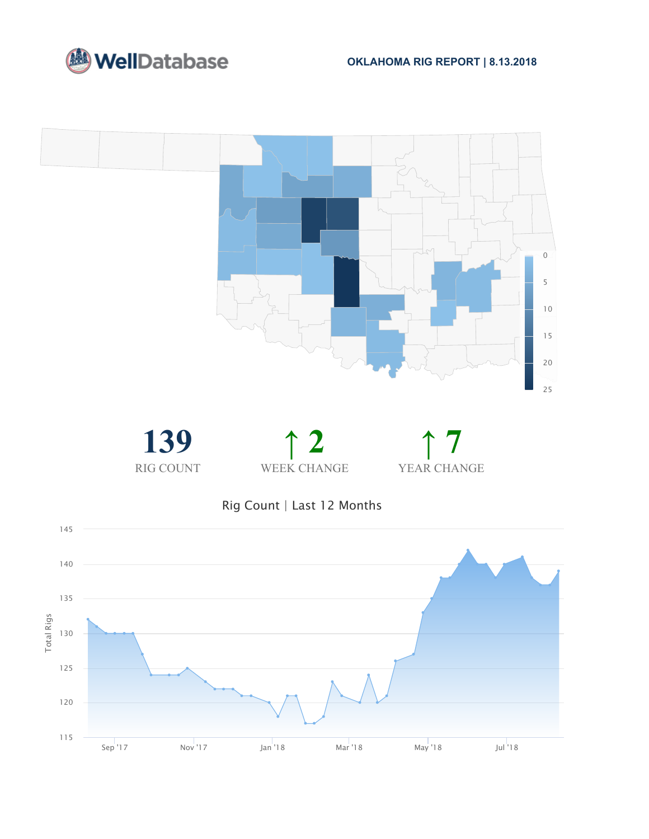





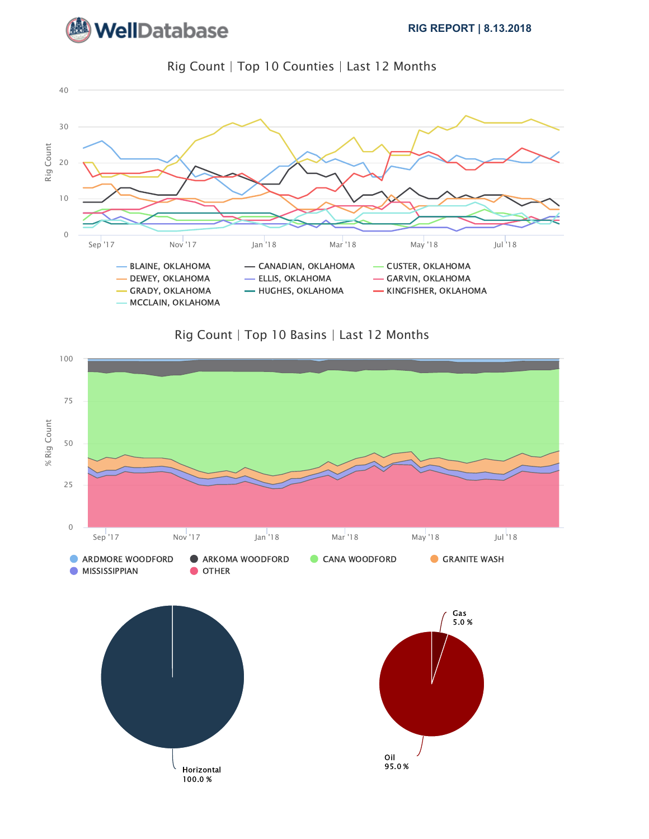







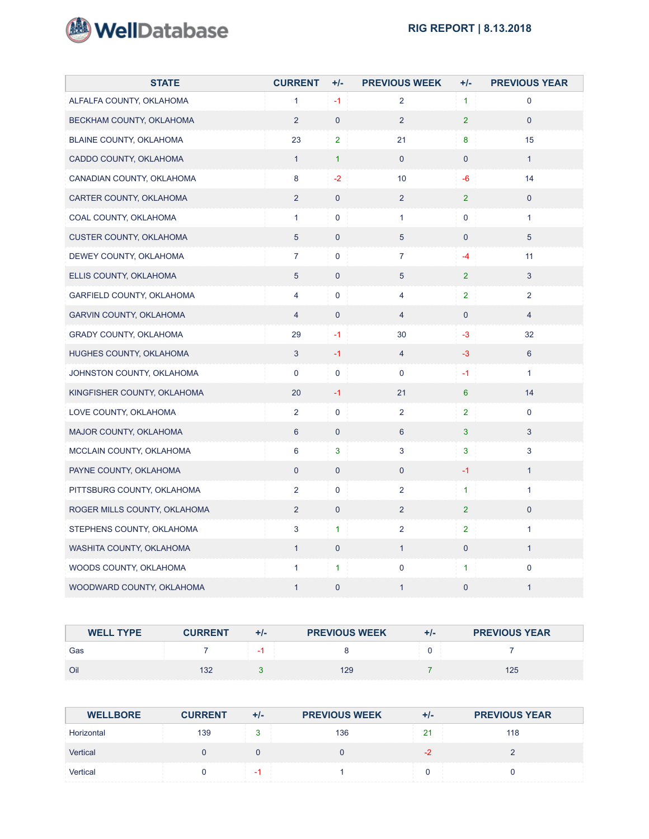

| <b>STATE</b>                   | <b>CURRENT</b>  | $+/-$          | <b>PREVIOUS WEEK</b> | $+/-$          | <b>PREVIOUS YEAR</b> |
|--------------------------------|-----------------|----------------|----------------------|----------------|----------------------|
| ALFALFA COUNTY, OKLAHOMA       | $\mathbf{1}$    | $-1$           | $\overline{2}$       | $\mathbf{1}$   | 0                    |
| BECKHAM COUNTY, OKLAHOMA       | $\overline{2}$  | $\pmb{0}$      | $\overline{2}$       | 2 <sup>1</sup> | $\mathsf{O}\xspace$  |
| BLAINE COUNTY, OKLAHOMA        | 23              | $\overline{2}$ | 21                   | 8              | 15 <sub>15</sub>     |
| CADDO COUNTY, OKLAHOMA         | $\mathbf{1}$    | $\mathbf{1}$   | $\mathbf{0}$         | $\mathbf 0$    | $\mathbf{1}$         |
| CANADIAN COUNTY, OKLAHOMA      | 8               | $-2$           | 10 <sup>1</sup>      | -6             | 14                   |
| CARTER COUNTY, OKLAHOMA        | $\overline{2}$  | $\overline{0}$ | $\overline{2}$       | 2 <sup>1</sup> | $\mathbf{0}$         |
| COAL COUNTY, OKLAHOMA          | $\mathbf{1}$    | 0              | $\mathbf{1}$         | $\mathbf 0$    | 1                    |
| <b>CUSTER COUNTY, OKLAHOMA</b> | $5\phantom{.0}$ | $\overline{0}$ | 5                    | $\overline{0}$ | $5\phantom{.0}$      |
| DEWEY COUNTY, OKLAHOMA         | $\overline{7}$  | 0              | $\overline{7}$       | $-4$           | 11                   |
| ELLIS COUNTY, OKLAHOMA         | $5\phantom{.0}$ | $\mathbf 0$    | $5\phantom{.0}$      | 2 <sup>1</sup> | 3                    |
| GARFIELD COUNTY, OKLAHOMA      | 4               | 0              | 4                    | $\overline{2}$ | $\overline{2}$       |
| GARVIN COUNTY, OKLAHOMA        | $\overline{4}$  | $\mathbf 0$    | $\overline{4}$       | $\overline{0}$ | $\overline{4}$       |
| GRADY COUNTY, OKLAHOMA         | 29              | $-1$           | 30                   | $-3$           | 32                   |
| HUGHES COUNTY, OKLAHOMA        | 3               | $-1$           | $\overline{4}$       | $-3$           | 6                    |
| JOHNSTON COUNTY, OKLAHOMA      | $\mathsf{O}$    | 0              | 0                    | $-1$           | 1                    |
| KINGFISHER COUNTY, OKLAHOMA    | 20              | $-1$           | 21                   | $6^{\circ}$    | 14                   |
| LOVE COUNTY, OKLAHOMA          | $\overline{2}$  | 0              | $\overline{2}$       | $\overline{2}$ | $\pmb{0}$            |
| MAJOR COUNTY, OKLAHOMA         | 6               | $\pmb{0}$      | 6                    | 3 <sup>1</sup> | 3                    |
| MCCLAIN COUNTY, OKLAHOMA       | 6               | 3              | 3                    | 3              | 3                    |
| PAYNE COUNTY, OKLAHOMA         | $\mathbf 0$     | $\overline{0}$ | $\mathbf 0$          | $-1$           | $\mathbf{1}$         |
| PITTSBURG COUNTY, OKLAHOMA     | $\overline{2}$  | 0              | $\overline{2}$       | $\mathbf{1}$   | 1                    |
| ROGER MILLS COUNTY, OKLAHOMA   | $\overline{2}$  | $\overline{0}$ | $\overline{2}$       | 2 <sup>1</sup> | $\mathbf{0}$         |
| STEPHENS COUNTY, OKLAHOMA      | 3               | $\mathbf{1}$   | $\overline{2}$       | $\overline{2}$ | $\mathbf{1}$         |
| WASHITA COUNTY, OKLAHOMA       | $\mathbf{1}$    | 0              | $\mathbf{1}$         | $\overline{0}$ | 1                    |
| WOODS COUNTY, OKLAHOMA         | $\mathbf{1}$    | $\mathbf{1}$   | $\mathsf{O}$         | $\mathbf{1}$   | $\pmb{0}$            |
| WOODWARD COUNTY, OKLAHOMA      | $\mathbf{1}$    | $\pmb{0}$      | $\mathbf{1}$         | $\mathbf 0$    | $\mathbf{1}$         |

| <b>WELL TYPE</b> | <b>CURRENT</b> | $+/-$ | <b>PREVIOUS WEEK</b> | +/- | <b>PREVIOUS YEAR</b> |
|------------------|----------------|-------|----------------------|-----|----------------------|
| Gas              |                |       |                      |     |                      |
| Oil              | 32             |       | 129                  |     | 125                  |

| <b>WELLBORE</b> | <b>CURRENT</b> | $+/-$ | <b>PREVIOUS WEEK</b> | +1-      | <b>PREVIOUS YEAR</b> |
|-----------------|----------------|-------|----------------------|----------|----------------------|
| Horizontal      | 139            |       | 136                  | יי<br>21 | 118                  |
| Vertical        |                |       |                      |          |                      |
| Vertical        |                |       |                      |          |                      |